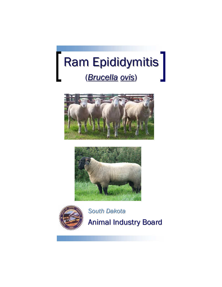







*South Dakota* Animal Industry Board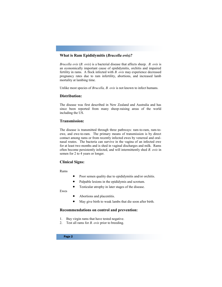### **What is Ram Epididymitis (***Brucella ovis)?*

*Brucella ovis* (*B. ovis*) is a bacterial disease that affects sheep. *B. ovis* is an economically important cause of epididymitis, orchitis and impaired fertility in rams. A flock infected with *B. ovis* may experience decreased pregnancy rates due to ram infertility, abortions, and increased lamb mortality at lambing time.

Unlike most species of *Brucella, B. ovis* is not known to infect humans.

### **Distribution:**

The disease was first described in New Zealand and Australia and has since been reported from many sheep-raising areas of the world including the US.

#### **Transmission:**

The disease is transmitted through three pathways: ram-to-ram, ram-toewe, and ewe-to-ram. The primary means of transmission is by direct contact among rams or from recently infected ewes by venereal and oralnasal routes. The bacteria can survive in the vagina of an infected ewe for at least two months and is shed in vaginal discharges and milk. Rams often become persistently infected, and will intermittently shed *B. ovis* in semen for 2 to 4 years or longer.

### **Clinical Signs:**

Rams

- Poor semen quality due to epididymitis and/or orchitis.
- Palpable lesions in the epididymis and scrotum.
- Testicular atrophy in later stages of the disease.

Ewes

- Abortions and placentitis.
- May give birth to weak lambs that die soon after birth.

#### **Recommendations on control and prevention:**

- 1. Buy virgin rams that have tested negative.
- 2. Test all rams for *B. ovis* prior to breeding.

Page 2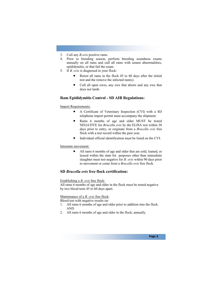- 3. Cull any *B.ovis* positive rams.
- 4. Prior to breeding season, perform breeding soundness exams annually on all rams and cull all rams with semen abnormalities, epididymitis, or that fail the exam.
- 5. If *B. ovis* is diagnosed in your flock:
	- Retest all rams in the flock 45 to 60 days after the initial test and the remove the infected ram(s).
	- Cull all open ewes, any ewe that aborts and any ewe that does not lamb.

# **Ram Epididymitis Control - SD AIB Regulations:**

#### Import Requirements:

- A Certificate of Veterinary Inspection (CVI) with a SD telephone import permit must accompany the shipment.
- Rams 6 months of age and older MUST be tested NEGATIVE for *Brucella ovis* by the ELISA test within 30 days prior to entry, or originate from a *Brucella ovis* free flock with a test record within the past year.
- Individual official identification must be listed on the CVI.

#### Intrastate movement:

 All rams 6 months of age and older that are sold, loaned, or leased within the state for purposes other than immediate slaughter must test negative for *B. ovis* within 90 days prior to movement or come from a *Brucella ovis* free flock.

# **SD** *Brucella ovis* **free flock certification:**

#### Establishing a *B. ovis* free flock:

All rams 6 months of age and older in the flock must be tested negative by two blood tests 45 to 60 days apart.

#### Maintenance of a *B. ovis* free flock:

Blood test with negative results on:

- 1. All rams 6 months of age and older prior to addition into the flock. AND
- 2. All rams 6 months of age and older in the flock, annually.